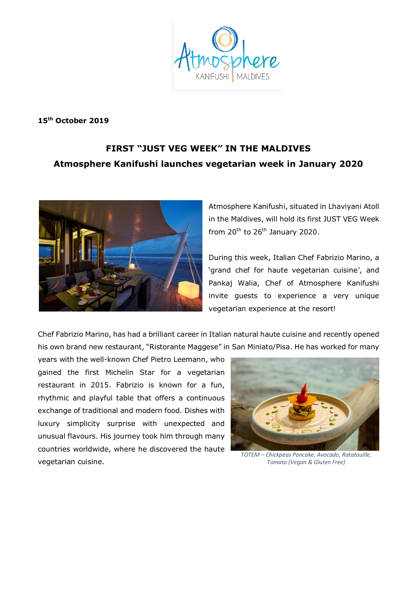

**15th October 2019**

## **FIRST "JUST VEG WEEK" IN THE MALDIVES Atmosphere Kanifushi launches vegetarian week in January 2020**



Atmosphere Kanifushi, situated in Lhaviyani Atoll in the Maldives, will hold its first JUST VEG Week from  $20^{th}$  to  $26^{th}$  January 2020.

During this week, Italian Chef Fabrizio Marino, a 'grand chef for haute vegetarian cuisine', and Pankaj Walia, Chef of Atmosphere Kanifushi invite guests to experience a very unique vegetarian experience at the resort!

Chef Fabrizio Marino, has had a brilliant career in Italian natural haute cuisine and recently opened his own brand new restaurant, "Ristorante Maggese" in San Miniato/Pisa. He has worked for many

years with the well-known Chef Pietro Leemann, who gained the first Michelin Star for a vegetarian restaurant in 2015. Fabrizio is known for a fun, rhythmic and playful table that offers a continuous exchange of traditional and modern food. Dishes with luxury simplicity surprise with unexpected and unusual flavours. His journey took him through many countries worldwide, where he discovered the haute vegetarian cuisine.



*TOTEM – Chickpeas Pancake, Avocado, Ratatouille, Tomato (Vegan & Gluten Free)*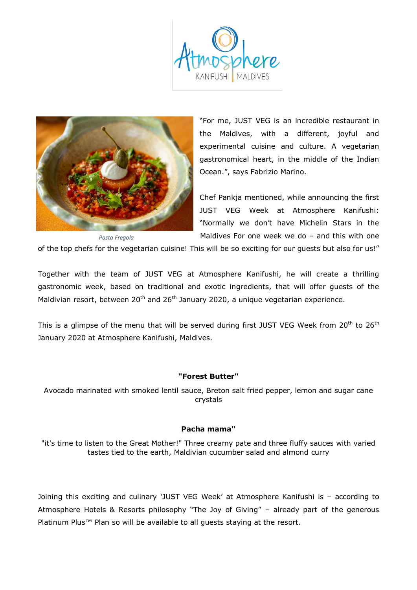



"For me, JUST VEG is an incredible restaurant in the Maldives, with a different, joyful and experimental cuisine and culture. A vegetarian gastronomical heart, in the middle of the Indian Ocean.", says Fabrizio Marino.

Chef Pankja mentioned, while announcing the first JUST VEG Week at Atmosphere Kanifushi: "Normally we don't have Michelin Stars in the Maldives For one week we do – and this with one

of the top chefs for the vegetarian cuisine! This will be so exciting for our guests but also for us!"

Together with the team of JUST VEG at Atmosphere Kanifushi, he will create a thrilling gastronomic week, based on traditional and exotic ingredients, that will offer guests of the Maldivian resort, between  $20<sup>th</sup>$  and  $26<sup>th</sup>$  January 2020, a unique vegetarian experience.

This is a glimpse of the menu that will be served during first JUST VEG Week from 20<sup>th</sup> to 26<sup>th</sup> January 2020 at Atmosphere Kanifushi, Maldives.

## **"Forest Butter"**

Avocado marinated with smoked lentil sauce, Breton salt fried pepper, lemon and sugar cane crystals

## **Pacha mama"**

"it's time to listen to the Great Mother!" Three creamy pate and three fluffy sauces with varied tastes tied to the earth, Maldivian cucumber salad and almond curry

Joining this exciting and culinary 'JUST VEG Week' at Atmosphere Kanifushi is – according to Atmosphere Hotels & Resorts philosophy "The Joy of Giving" – already part of the generous Platinum Plus™ Plan so will be available to all quests staying at the resort.